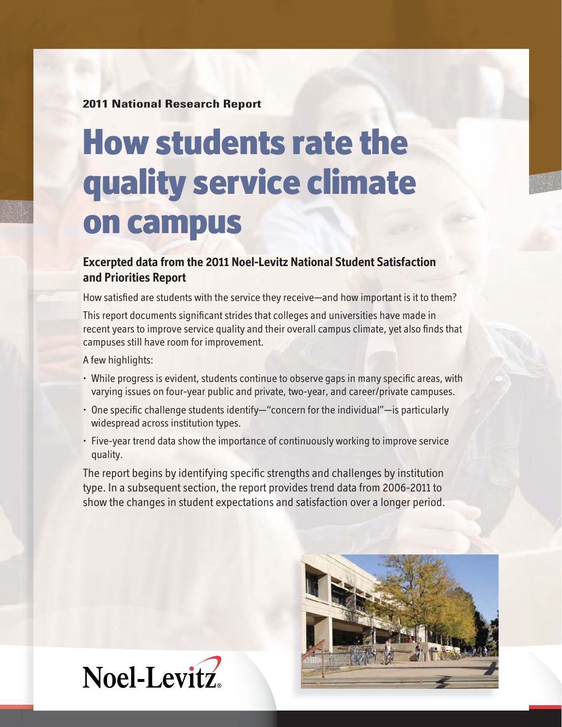**2011 National Research Report**

# **How students rate the quality service climate on campus**

# **Excerpted data from the 2011 Noel-Levitz National Student Satisfaction and Priorities Report**

How satisfied are students with the service they receive—and how important is it to them?

This report documents significant strides that colleges and universities have made in recent years to improve service quality and their overall campus climate, yet also finds that campuses still have room for improvement.

A few highlights:

- While progress is evident, students continue to observe gaps in many specific areas, with varying issues on four-year public and private, two-year, and career/private campuses.
- $\cdot$  One specific challenge students identify—"concern for the individual"—is particularly widespread across institution types.
- Five-year trend data show the importance of continuously working to improve service quality.

The report begins by identifying specific strengths and challenges by institution type. In a subsequent section, the report provides trend data from 2006-2011 to show the changes in student expectations and satisfaction over a longer period.



Noel-Levitz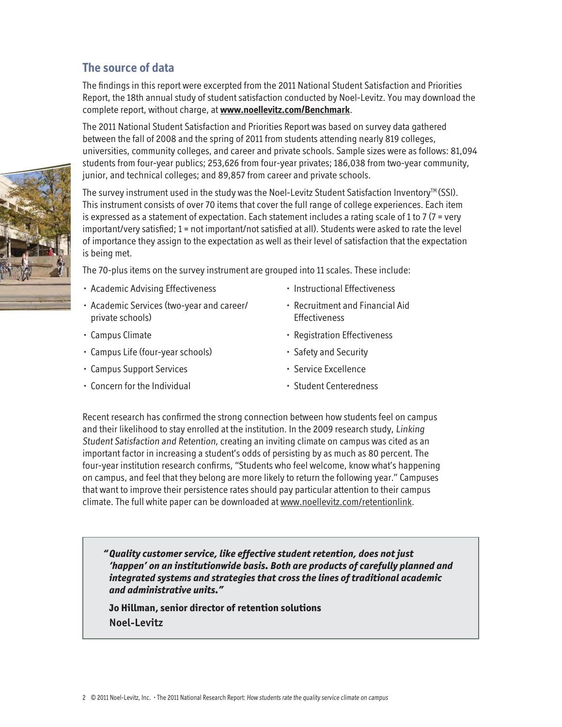## **The source of data**

The findings in this report were excerpted from the 2011 National Student Satisfaction and Priorities Report, the 18th annual study of student satisfaction conducted by Noel-Levitz. You may download the complete report, without charge, at **www.noellevitz.com/Benchmark**.

The 2011 National Student Satisfaction and Priorities Report was based on survey data gathered between the fall of 2008 and the spring of 2011 from students attending nearly 819 colleges, universities, community colleges, and career and private schools. Sample sizes were as follows: 81,094 students from four-year publics; 253,626 from four-year privates; 186,038 from two-year community, junior, and technical colleges; and 89,857 from career and private schools.

The survey instrument used in the study was the Noel-Levitz Student Satisfaction Inventory<sup>™</sup> (SSI). This instrument consists of over 70 items that cover the full range of college experiences. Each item is expressed as a statement of expectation. Each statement includes a rating scale of 1 to 7 (7 = very important/very satisfied; 1 = not important/not satisfied at all). Students were asked to rate the level of importance they assign to the expectation as well as their level of satisfaction that the expectation is being met.

The 70-plus items on the survey instrument are grouped into 11 scales. These include:

- Academic Advising Effectiveness
- Academic Services (two-year and career/ private schools)
- Campus Climate
- Campus Life (four-year schools)
- Campus Support Services
- Concern for the Individual
- Instructional Effectiveness
- Recruitment and Financial Aid **Effectiveness**
- Registration Effectiveness
- Safety and Security
- Service Excellence
- Student Centeredness

Recent research has confirmed the strong connection between how students feel on campus and their likelihood to stay enrolled at the institution. In the 2009 research study, Linking Student Satisfaction and Retention, creating an inviting climate on campus was cited as an important factor in increasing a student's odds of persisting by as much as 80 percent. The four-year institution research confirms, "Students who feel welcome, know what's happening on campus, and feel that they belong are more likely to return the following year." Campuses that want to improve their persistence rates should pay particular attention to their campus climate. The full white paper can be downloaded at www.noellevitz.com/retentionlink.

*" Quality customer service, like effective student retention, does not just 'happen' on an institutionwide basis. Both are products of carefully planned and integrated systems and strategies that cross the lines of traditional academic and administrative units."*

 **Jo Hillman, senior director of retention solutions Noel-Levitz**

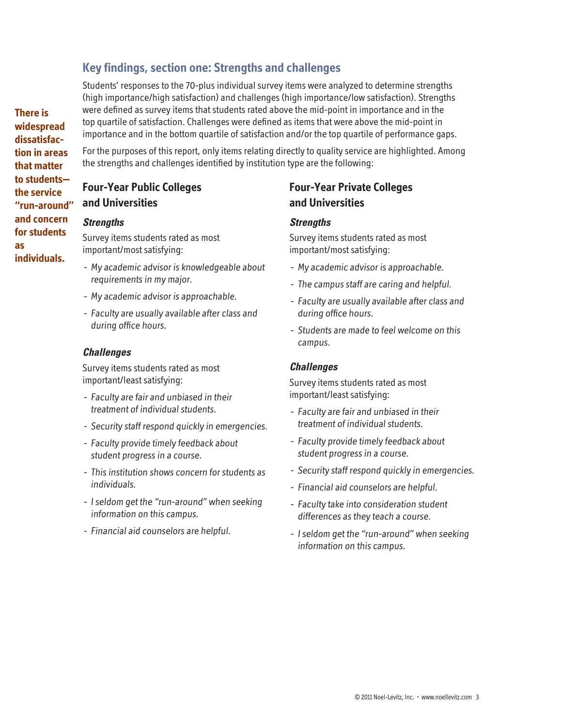# **Key findings, section one: Strengths and challenges**

Students' responses to the 70-plus individual survey items were analyzed to determine strengths (high importance/high satisfaction) and challenges (high importance/low satisfaction). Strengths were defined as survey items that students rated above the mid-point in importance and in the top quartile of satisfaction. Challenges were defined as items that were above the mid-point in importance and in the bottom quartile of satisfaction and/or the top quartile of performance gaps.

For the purposes of this report, only items relating directly to quality service are highlighted. Among the strengths and challenges identified by institution type are the following:

# **Four-Year Public Colleges and Universities**

#### *Strengths*

Survey items students rated as most important/most satisfying:

- My academic advisor is knowledgeable about requirements in my major.
- My academic advisor is approachable.
- Faculty are usually available after class and during office hours.

#### *Challenges*

Survey items students rated as most important/least satisfying:

- Faculty are fair and unbiased in their treatment of individual students.
- Security staff respond quickly in emergencies.
- Faculty provide timely feedback about student progress in a course.
- This institution shows concern for students as individuals.
- I seldom get the "run-around" when seeking information on this campus.
- Financial aid counselors are helpful.

# **Four-Year Private Colleges and Universities**

#### *Strengths*

Survey items students rated as most important/most satisfying:

- My academic advisor is approachable.
- The campus staff are caring and helpful.
- Faculty are usually available after class and during office hours.
- Students are made to feel welcome on this campus.

#### *Challenges*

Survey items students rated as most important/least satisfying:

- Faculty are fair and unbiased in their treatment of individual students.
- Faculty provide timely feedback about student progress in a course.
- Security staff respond quickly in emergencies.
- Financial aid counselors are helpful.
- Faculty take into consideration student differences as they teach a course.
- I seldom get the "run-around" when seeking information on this campus.

**There is widespread dissatisfaction in areas that matter to students the service "run-around" and concern for students as individuals.**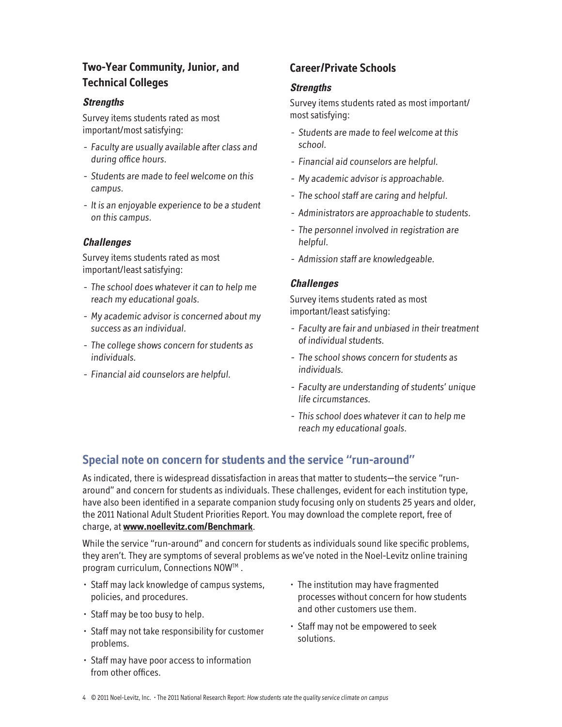# **Two-Year Community, Junior, and Technical Colleges**

#### *Strengths*

Survey items students rated as most important/most satisfying:

- Faculty are usually available after class and during office hours.
- Students are made to feel welcome on this campus.
- It is an enjoyable experience to be a student on this campus.

#### *Challenges*

Survey items students rated as most important/least satisfying:

- The school does whatever it can to help me reach my educational goals.
- My academic advisor is concerned about my success as an individual.
- The college shows concern for students as individuals.
- Financial aid counselors are helpful.

# **Career/Private Schools**

#### *Strengths*

Survey items students rated as most important/ most satisfying:

- Students are made to feel welcome at this school.
- Financial aid counselors are helpful.
- My academic advisor is approachable.
- The school staff are caring and helpful.
- Administrators are approachable to students.
- The personnel involved in registration are helpful.
- Admission staff are knowledgeable.

#### *Challenges*

Survey items students rated as most important/least satisfying:

- Faculty are fair and unbiased in their treatment of individual students.
- The school shows concern for students as individuals.
- Faculty are understanding of students' unique life circumstances.
- This school does whatever it can to help me reach my educational goals.

# **Special note on concern for students and the service "run-around"**

As indicated, there is widespread dissatisfaction in areas that matter to students—the service "runaround" and concern for students as individuals. These challenges, evident for each institution type, have also been identified in a separate companion study focusing only on students 25 years and older, the 2011 National Adult Student Priorities Report. You may download the complete report, free of charge, at **www.noellevitz.com/Benchmark**.

While the service "run-around" and concern for students as individuals sound like specific problems, they aren't. They are symptoms of several problems as we've noted in the Noel-Levitz online training program curriculum, Connections NOW™.

- Staff may lack knowledge of campus systems, policies, and procedures.
- Staff may be too busy to help.
- Staff may not take responsibility for customer problems.
- Staff may have poor access to information from other offices.
- The institution may have fragmented processes without concern for how students and other customers use them.
- Staff may not be empowered to seek solutions.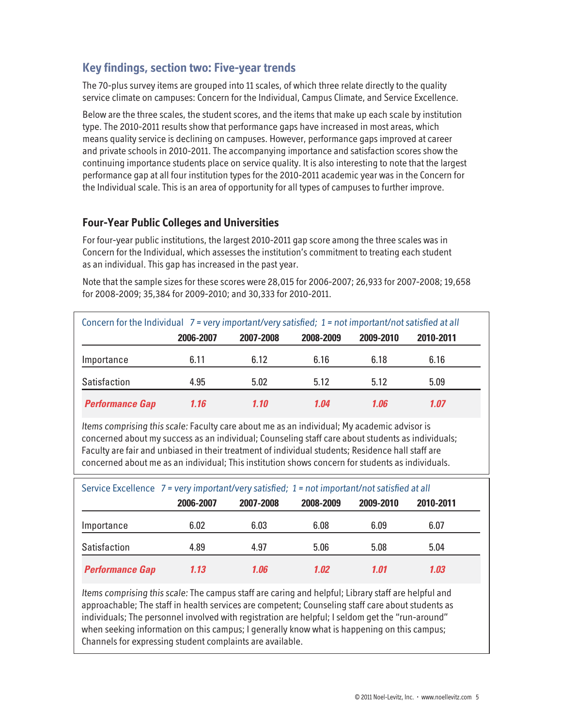# **Key findings, section two: Five-year trends**

The 70-plus survey items are grouped into 11 scales, of which three relate directly to the quality service climate on campuses: Concern for the Individual, Campus Climate, and Service Excellence.

Below are the three scales, the student scores, and the items that make up each scale by institution type. The 2010-2011 results show that performance gaps have increased in most areas, which means quality service is declining on campuses. However, performance gaps improved at career and private schools in 2010-2011. The accompanying importance and satisfaction scores show the continuing importance students place on service quality. It is also interesting to note that the largest performance gap at all four institution types for the 2010-2011 academic year was in the Concern for the Individual scale. This is an area of opportunity for all types of campuses to further improve.

## **Four-Year Public Colleges and Universities**

For four-year public institutions, the largest 2010-2011 gap score among the three scales was in Concern for the Individual, which assesses the institution's commitment to treating each student as an individual. This gap has increased in the past year.

Note that the sample sizes for these scores were 28,015 for 2006-2007; 26,933 for 2007-2008; 19,658 for 2008-2009; 35,384 for 2009-2010; and 30,333 for 2010-2011.

| Concern for the Individual 7 = very important/very satisfied; 1 = not important/not satisfied at all |           |           |           |           |           |  |  |
|------------------------------------------------------------------------------------------------------|-----------|-----------|-----------|-----------|-----------|--|--|
|                                                                                                      | 2006-2007 | 2007-2008 | 2008-2009 | 2009-2010 | 2010-2011 |  |  |
| Importance                                                                                           | 6.11      | 6.12      | 6.16      | 6.18      | 6.16      |  |  |
| Satisfaction                                                                                         | 4.95      | 5.02      | 5.12      | 5.12      | 5.09      |  |  |
| <b>Performance Gap</b>                                                                               | 1.16      | 1.10      | 1.04      | 1.06      | 1.07      |  |  |

Items comprising this scale: Faculty care about me as an individual; My academic advisor is concerned about my success as an individual; Counseling staff care about students as individuals; Faculty are fair and unbiased in their treatment of individual students; Residence hall staff are concerned about me as an individual; This institution shows concern for students as individuals.

|                        | Service Excellence 7 = very important/very satisfied; 1 = not important/not satisfied at all |           |           |           |           |  |  |
|------------------------|----------------------------------------------------------------------------------------------|-----------|-----------|-----------|-----------|--|--|
|                        | 2006-2007                                                                                    | 2007-2008 | 2008-2009 | 2009-2010 | 2010-2011 |  |  |
| Importance             | 6.02                                                                                         | 6.03      | 6.08      | 6.09      | 6.07      |  |  |
| Satisfaction           | 4.89                                                                                         | 4.97      | 5.06      | 5.08      | 5.04      |  |  |
| <b>Performance Gap</b> | 1.13                                                                                         | 1.06      | 1.02      | 1.01      | 1.03      |  |  |

Items comprising this scale: The campus staff are caring and helpful; Library staff are helpful and approachable; The staff in health services are competent; Counseling staff care about students as individuals; The personnel involved with registration are helpful; I seldom get the "run-around" when seeking information on this campus; I generally know what is happening on this campus; Channels for expressing student complaints are available.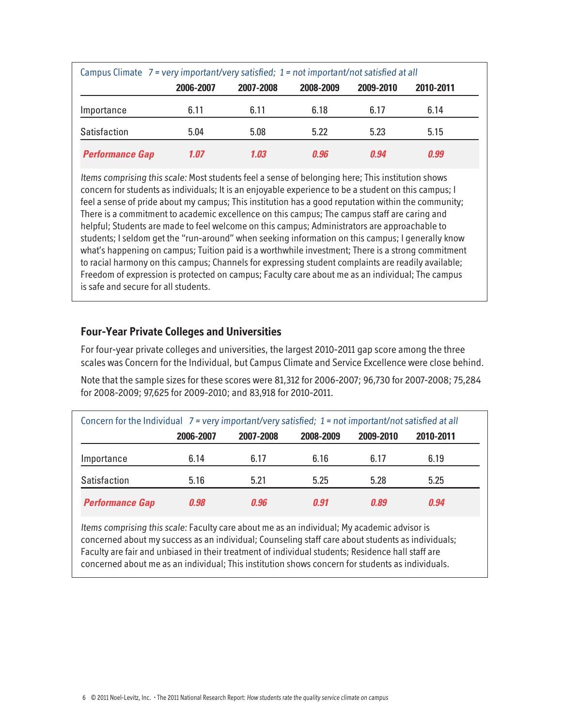|                        | Campus Climate $7$ = very important/very satisfied; $1$ = not important/not satisfied at all |           |           |           |           |  |  |
|------------------------|----------------------------------------------------------------------------------------------|-----------|-----------|-----------|-----------|--|--|
|                        | 2006-2007                                                                                    | 2007-2008 | 2008-2009 | 2009-2010 | 2010-2011 |  |  |
| Importance             | 6.11                                                                                         | 6.11      | 6.18      | 6.17      | 6.14      |  |  |
| Satisfaction           | 5.04                                                                                         | 5.08      | 5.22      | 5.23      | 5.15      |  |  |
| <b>Performance Gap</b> | 1.07                                                                                         | 1.03      | 0.96      | 0.94      | 0.99      |  |  |

Items comprising this scale: Most students feel a sense of belonging here; This institution shows concern for students as individuals; It is an enjoyable experience to be a student on this campus; I feel a sense of pride about my campus; This institution has a good reputation within the community; There is a commitment to academic excellence on this campus; The campus staff are caring and helpful; Students are made to feel welcome on this campus; Administrators are approachable to students; I seldom get the "run-around" when seeking information on this campus; I generally know what's happening on campus; Tuition paid is a worthwhile investment; There is a strong commitment to racial harmony on this campus; Channels for expressing student complaints are readily available; Freedom of expression is protected on campus; Faculty care about me as an individual; The campus is safe and secure for all students.

## **Four-Year Private Colleges and Universities**

For four-year private colleges and universities, the largest 2010-2011 gap score among the three scales was Concern for the Individual, but Campus Climate and Service Excellence were close behind.

Note that the sample sizes for these scores were 81,312 for 2006-2007; 96,730 for 2007-2008; 75,284 for 2008-2009; 97,625 for 2009-2010; and 83,918 for 2010-2011.

| Concern for the Individual $7$ = very important/very satisfied; $1$ = not important/not satisfied at all |           |           |           |           |           |  |  |
|----------------------------------------------------------------------------------------------------------|-----------|-----------|-----------|-----------|-----------|--|--|
|                                                                                                          | 2006-2007 | 2007-2008 | 2008-2009 | 2009-2010 | 2010-2011 |  |  |
| Importance                                                                                               | 6.14      | 6.17      | 6.16      | 6.17      | 6.19      |  |  |
| Satisfaction                                                                                             | 5.16      | 5.21      | 5.25      | 5.28      | 5.25      |  |  |
| <b>Performance Gap</b>                                                                                   | 0.98      | 0.96      | 0.91      | 0.89      | 0.94      |  |  |

Items comprising this scale: Faculty care about me as an individual; My academic advisor is concerned about my success as an individual; Counseling staff care about students as individuals; Faculty are fair and unbiased in their treatment of individual students; Residence hall staff are concerned about me as an individual; This institution shows concern for students as individuals.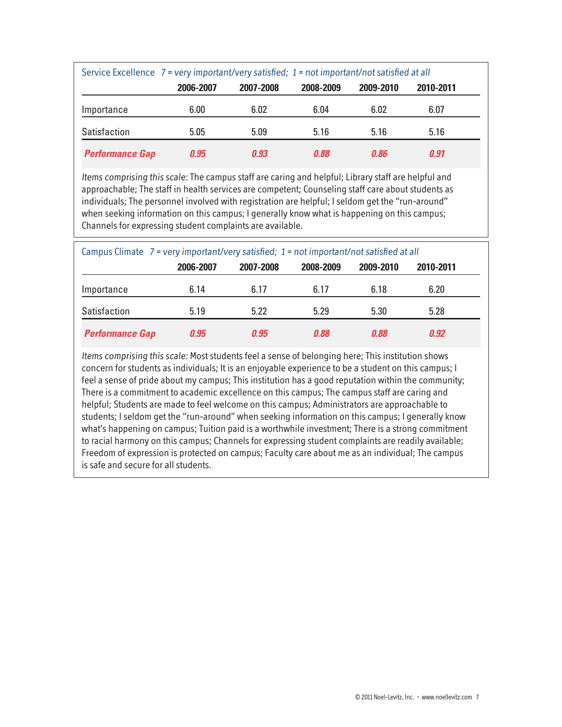|                        | Service Excellence 7 = very important/very satisfied; 1 = not important/not satisfied at all |           |           |           |           |  |  |
|------------------------|----------------------------------------------------------------------------------------------|-----------|-----------|-----------|-----------|--|--|
|                        | 2006-2007                                                                                    | 2007-2008 | 2008-2009 | 2009-2010 | 2010-2011 |  |  |
| Importance             | 6.00                                                                                         | 6.02      | 6.04      | 6.02      | 6.07      |  |  |
| Satisfaction           | 5.05                                                                                         | 5.09      | 5.16      | 5.16      | 5.16      |  |  |
| <b>Performance Gap</b> | 0.95                                                                                         | 0.93      | 0.88      | 0.86      | 0.91      |  |  |

Items comprising this scale: The campus staff are caring and helpful; Library staff are helpful and approachable; The staff in health services are competent; Counseling staff care about students as individuals; The personnel involved with registration are helpful; I seldom get the "run-around" when seeking information on this campus; I generally know what is happening on this campus; Channels for expressing student complaints are available.

|                        |           | Campus Climate $7$ = very important/very satisfied; $1$ = not important/not satisfied at all |           |           |           |  |  |  |
|------------------------|-----------|----------------------------------------------------------------------------------------------|-----------|-----------|-----------|--|--|--|
|                        | 2006-2007 | 2007-2008                                                                                    | 2008-2009 | 2009-2010 | 2010-2011 |  |  |  |
| Importance             | 6.14      | 6.17                                                                                         | 6.17      | 6.18      | 6.20      |  |  |  |
| Satisfaction           | 5.19      | 5.22                                                                                         | 5.29      | 5.30      | 5.28      |  |  |  |
| <b>Performance Gap</b> | 0.95      | 0.95                                                                                         | 0.88      | 0.88      | 0.92      |  |  |  |

Items comprising this scale: Most students feel a sense of belonging here; This institution shows concern for students as individuals; It is an enjoyable experience to be a student on this campus; I feel a sense of pride about my campus; This institution has a good reputation within the community; There is a commitment to academic excellence on this campus; The campus staff are caring and helpful; Students are made to feel welcome on this campus; Administrators are approachable to students; I seldom get the "run-around" when seeking information on this campus; I generally know what's happening on campus; Tuition paid is a worthwhile investment; There is a strong commitment to racial harmony on this campus; Channels for expressing student complaints are readily available; Freedom of expression is protected on campus; Faculty care about me as an individual; The campus is safe and secure for all students.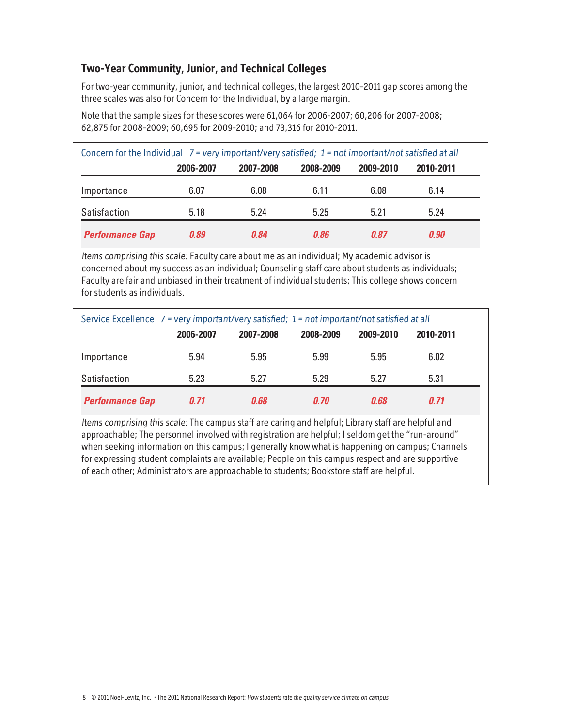## **Two-Year Community, Junior, and Technical Colleges**

For two-year community, junior, and technical colleges, the largest 2010-2011 gap scores among the three scales was also for Concern for the Individual, by a large margin.

| Concern for the Individual $7 = \text{very important/very satisfied}$ ; 1 = not important/not satisfied at all |      |      |      |      |      |  |  |
|----------------------------------------------------------------------------------------------------------------|------|------|------|------|------|--|--|
| 2006-2007<br>2008-2009<br>2009-2010<br>2007-2008<br>2010-2011                                                  |      |      |      |      |      |  |  |
| Importance                                                                                                     | 6.07 | 6.08 | 6.11 | 6.08 | 6.14 |  |  |
| Satisfaction                                                                                                   | 5.18 | 5.24 | 5.25 | 5.21 | 5.24 |  |  |
| <b>Performance Gap</b>                                                                                         | 0.89 | 0.84 | 0.86 | 0.87 | 0.90 |  |  |

Note that the sample sizes for these scores were 61,064 for 2006-2007; 60,206 for 2007-2008; 62,875 for 2008-2009; 60,695 for 2009-2010; and 73,316 for 2010-2011.

Items comprising this scale: Faculty care about me as an individual; My academic advisor is concerned about my success as an individual; Counseling staff care about students as individuals; Faculty are fair and unbiased in their treatment of individual students; This college shows concern for students as individuals.

|                        |           | Service Excellence 7 = very important/very satisfied; 1 = not important/not satisfied at all |           |           |           |  |
|------------------------|-----------|----------------------------------------------------------------------------------------------|-----------|-----------|-----------|--|
|                        | 2006-2007 | 2007-2008                                                                                    | 2008-2009 | 2009-2010 | 2010-2011 |  |
| Importance             | 5.94      | 5.95                                                                                         | 5.99      | 5.95      | 6.02      |  |
| Satisfaction           | 5.23      | 5.27                                                                                         | 5.29      | 5.27      | 5.31      |  |
| <b>Performance Gap</b> | 0.71      | 0.68                                                                                         | 0.70      | በ.68      | 0.71      |  |

Items comprising this scale: The campus staff are caring and helpful; Library staff are helpful and approachable; The personnel involved with registration are helpful; I seldom get the "run-around" when seeking information on this campus; I generally know what is happening on campus; Channels for expressing student complaints are available; People on this campus respect and are supportive of each other; Administrators are approachable to students; Bookstore staff are helpful.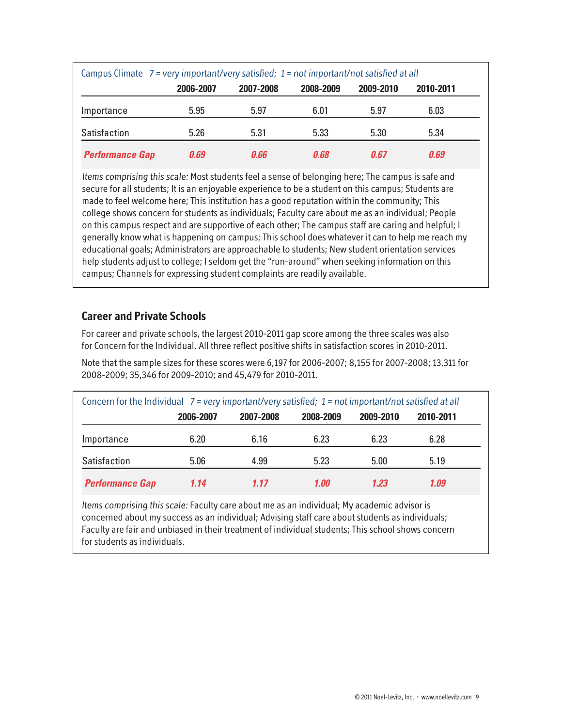|                        | Campus Climate 7 = very important/very satisfied; 1 = not important/not satisfied at all |           |           |           |           |  |  |
|------------------------|------------------------------------------------------------------------------------------|-----------|-----------|-----------|-----------|--|--|
|                        | 2006-2007                                                                                | 2007-2008 | 2008-2009 | 2009-2010 | 2010-2011 |  |  |
| Importance             | 5.95                                                                                     | 5.97      | 6.01      | 5.97      | 6.03      |  |  |
| Satisfaction           | 5.26                                                                                     | 5.31      | 5.33      | 5.30      | 5.34      |  |  |
| <b>Performance Gap</b> | 0.69                                                                                     | 0.66      | 0.68      | 0.67      | 0.69      |  |  |

Items comprising this scale: Most students feel a sense of belonging here; The campus is safe and secure for all students; It is an enjoyable experience to be a student on this campus; Students are made to feel welcome here; This institution has a good reputation within the community; This college shows concern for students as individuals; Faculty care about me as an individual; People on this campus respect and are supportive of each other; The campus staff are caring and helpful; I generally know what is happening on campus; This school does whatever it can to help me reach my educational goals; Administrators are approachable to students; New student orientation services help students adjust to college; I seldom get the "run-around" when seeking information on this campus; Channels for expressing student complaints are readily available.

## **Career and Private Schools**

For career and private schools, the largest 2010-2011 gap score among the three scales was also for Concern for the Individual. All three reflect positive shifts in satisfaction scores in 2010-2011.

Note that the sample sizes for these scores were 6,197 for 2006-2007; 8,155 for 2007-2008; 13,311 for 2008-2009; 35,346 for 2009-2010; and 45,479 for 2010-2011.

| Concern for the Individual $7 = \text{very important/very satisfied}$ ; 1 = not important/not satisfied at all |           |           |           |           |           |  |  |
|----------------------------------------------------------------------------------------------------------------|-----------|-----------|-----------|-----------|-----------|--|--|
|                                                                                                                | 2006-2007 | 2007-2008 | 2008-2009 | 2009-2010 | 2010-2011 |  |  |
| Importance                                                                                                     | 6.20      | 6.16      | 6.23      | 6.23      | 6.28      |  |  |
| Satisfaction                                                                                                   | 5.06      | 4.99      | 5.23      | 5.00      | 5.19      |  |  |
| <b>Performance Gap</b>                                                                                         | 1.14      | 1.17      | 1.00      | 1.23      | 1.09      |  |  |

Items comprising this scale: Faculty care about me as an individual; My academic advisor is concerned about my success as an individual; Advising staff care about students as individuals; Faculty are fair and unbiased in their treatment of individual students; This school shows concern for students as individuals.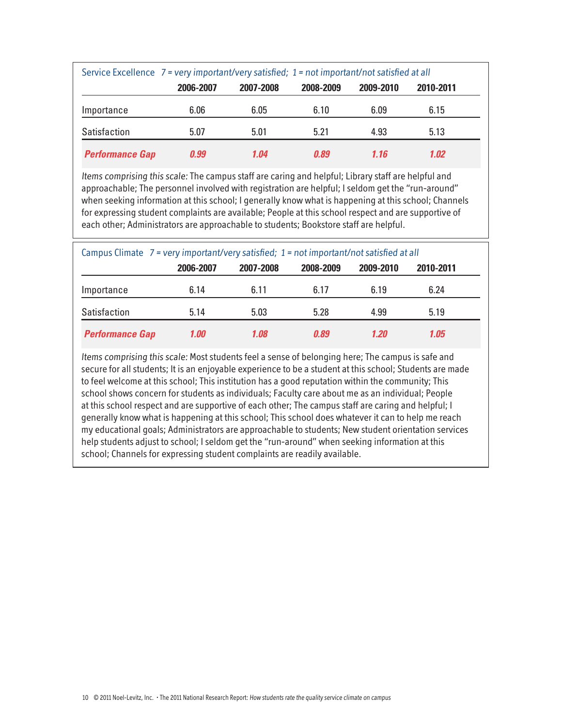|                        | Service Excellence 7 = very important/very satisfied; 1 = not important/not satisfied at all |           |           |           |           |  |  |
|------------------------|----------------------------------------------------------------------------------------------|-----------|-----------|-----------|-----------|--|--|
|                        | 2006-2007                                                                                    | 2007-2008 | 2008-2009 | 2009-2010 | 2010-2011 |  |  |
| Importance             | 6.06                                                                                         | 6.05      | 6.10      | 6.09      | 6.15      |  |  |
| Satisfaction           | 5.07                                                                                         | 5.01      | 5.21      | 4.93      | 5.13      |  |  |
| <b>Performance Gap</b> | 0.99                                                                                         | 1.04      | 0.89      | 1.16      | 1.02      |  |  |

Items comprising this scale: The campus staff are caring and helpful; Library staff are helpful and approachable; The personnel involved with registration are helpful; I seldom get the "run-around" when seeking information at this school; I generally know what is happening at this school; Channels for expressing student complaints are available; People at this school respect and are supportive of each other; Administrators are approachable to students; Bookstore staff are helpful.

|                        |           | Campus Climate $7$ = very important/very satisfied; $1$ = not important/not satisfied at all |           |           |           |  |  |  |
|------------------------|-----------|----------------------------------------------------------------------------------------------|-----------|-----------|-----------|--|--|--|
|                        | 2006-2007 | 2007-2008                                                                                    | 2008-2009 | 2009-2010 | 2010-2011 |  |  |  |
| Importance             | 6.14      | 6.11                                                                                         | 6.17      | 6.19      | 6.24      |  |  |  |
| Satisfaction           | 5.14      | 5.03                                                                                         | 5.28      | 4.99      | 5.19      |  |  |  |
| <b>Performance Gap</b> | 1.00      | 1.08                                                                                         | 0.89      | 1.20      | 1.05      |  |  |  |

Items comprising this scale: Most students feel a sense of belonging here; The campus is safe and secure for all students; It is an enjoyable experience to be a student at this school; Students are made to feel welcome at this school; This institution has a good reputation within the community; This school shows concern for students as individuals; Faculty care about me as an individual; People at this school respect and are supportive of each other; The campus staff are caring and helpful; I generally know what is happening at this school; This school does whatever it can to help me reach my educational goals; Administrators are approachable to students; New student orientation services help students adjust to school; I seldom get the "run-around" when seeking information at this school; Channels for expressing student complaints are readily available.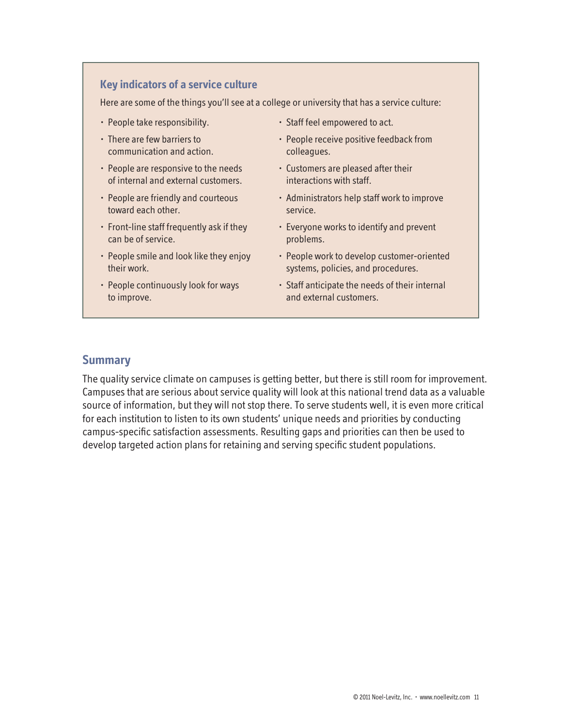## **Key indicators of a service culture**

Here are some of the things you'll see at a college or university that has a service culture:

- People take responsibility.
- There are few barriers to communication and action.
- People are responsive to the needs of internal and external customers.
- People are friendly and courteous toward each other.
- Front-line staff frequently ask if they can be of service.
- People smile and look like they enjoy their work.
- People continuously look for ways to improve.
- Staff feel empowered to act.
- People receive positive feedback from colleagues.
- Customers are pleased after their interactions with staff.
- Administrators help staff work to improve service.
- Everyone works to identify and prevent problems.
- People work to develop customer-oriented systems, policies, and procedures.
- Staff anticipate the needs of their internal and external customers.

### **Summary**

The quality service climate on campuses is getting better, but there is still room for improvement. Campuses that are serious about service quality will look at this national trend data as a valuable source of information, but they will not stop there. To serve students well, it is even more critical for each institution to listen to its own students' unique needs and priorities by conducting campus-specific satisfaction assessments. Resulting gaps and priorities can then be used to develop targeted action plans for retaining and serving specific student populations.